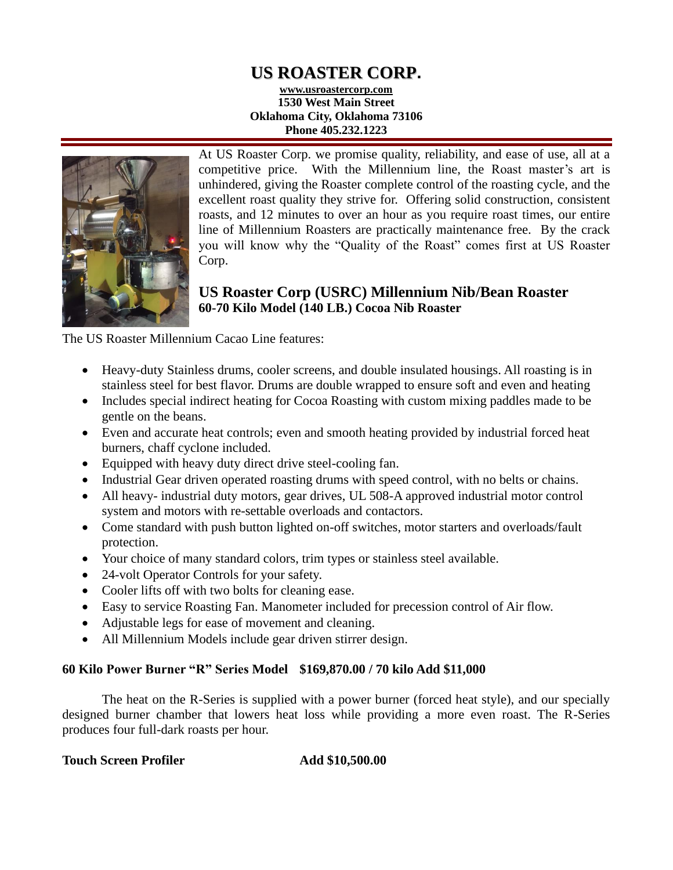# **US ROASTER CORP.**

**www.usroastercorp.com 1530 West Main Street Oklahoma City, Oklahoma 73106 Phone 405.232.1223**



At US Roaster Corp. we promise quality, reliability, and ease of use, all at a competitive price. With the Millennium line, the Roast master's art is unhindered, giving the Roaster complete control of the roasting cycle, and the excellent roast quality they strive for. Offering solid construction, consistent roasts, and 12 minutes to over an hour as you require roast times, our entire line of Millennium Roasters are practically maintenance free. By the crack you will know why the "Quality of the Roast" comes first at US Roaster Corp.

# **US Roaster Corp (USRC) Millennium Nib/Bean Roaster 60-70 Kilo Model (140 LB.) Cocoa Nib Roaster**

The US Roaster Millennium Cacao Line features:

- Heavy-duty Stainless drums, cooler screens, and double insulated housings. All roasting is in stainless steel for best flavor. Drums are double wrapped to ensure soft and even and heating
- Includes special indirect heating for Cocoa Roasting with custom mixing paddles made to be gentle on the beans.
- Even and accurate heat controls; even and smooth heating provided by industrial forced heat burners, chaff cyclone included.
- Equipped with heavy duty direct drive steel-cooling fan.
- Industrial Gear driven operated roasting drums with speed control, with no belts or chains.
- All heavy- industrial duty motors, gear drives, UL 508-A approved industrial motor control system and motors with re-settable overloads and contactors.
- Come standard with push button lighted on-off switches, motor starters and overloads/fault protection.
- Your choice of many standard colors, trim types or stainless steel available.
- 24-volt Operator Controls for your safety.
- Cooler lifts off with two bolts for cleaning ease.
- Easy to service Roasting Fan. Manometer included for precession control of Air flow.
- Adjustable legs for ease of movement and cleaning.
- All Millennium Models include gear driven stirrer design.

## **60 Kilo Power Burner "R" Series Model \$169,870.00 / 70 kilo Add \$11,000**

The heat on the R-Series is supplied with a power burner (forced heat style), and our specially designed burner chamber that lowers heat loss while providing a more even roast. The R-Series produces four full-dark roasts per hour.

## **Touch Screen Profiler Add \$10,500.00**